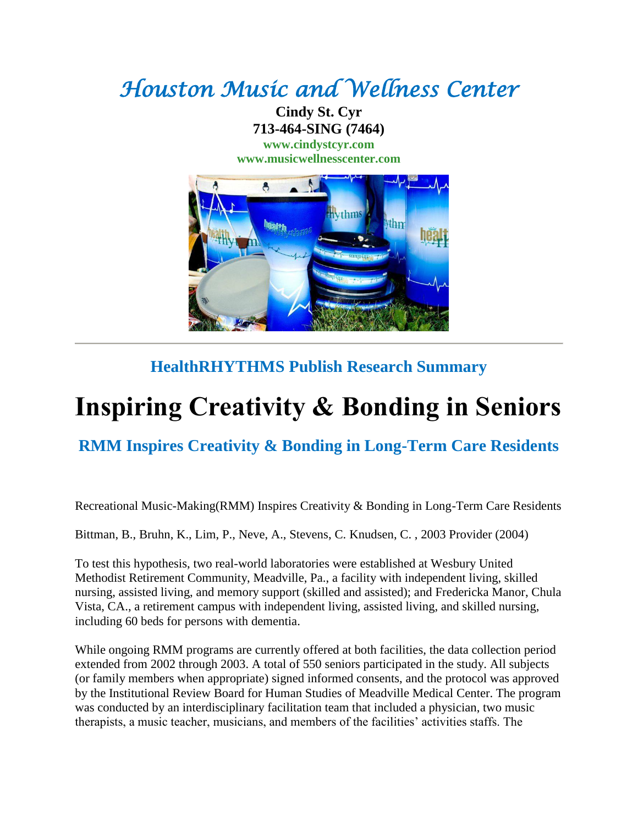## *Houston Music and Wellness Center*

**Cindy St. Cyr 713-464-SING (7464) [www.cindystcyr.com](http://www.cindystcyr.com/)**

**[www.musicwellnesscenter.com](http://www.musicwellnesscenter.com/)**



## **HealthRHYTHMS Publish Research Summary**

## **Inspiring Creativity & Bonding in Seniors**

**RMM Inspires Creativity & Bonding in Long-Term Care Residents**

Recreational Music-Making(RMM) Inspires Creativity & Bonding in Long-Term Care Residents

Bittman, B., Bruhn, K., Lim, P., Neve, A., Stevens, C. Knudsen, C. , 2003 Provider (2004)

To test this hypothesis, two real-world laboratories were established at Wesbury United Methodist Retirement Community, Meadville, Pa., a facility with independent living, skilled nursing, assisted living, and memory support (skilled and assisted); and Fredericka Manor, Chula Vista, CA., a retirement campus with independent living, assisted living, and skilled nursing, including 60 beds for persons with dementia.

While ongoing RMM programs are currently offered at both facilities, the data collection period extended from 2002 through 2003. A total of 550 seniors participated in the study. All subjects (or family members when appropriate) signed informed consents, and the protocol was approved by the Institutional Review Board for Human Studies of Meadville Medical Center. The program was conducted by an interdisciplinary facilitation team that included a physician, two music therapists, a music teacher, musicians, and members of the facilities' activities staffs. The